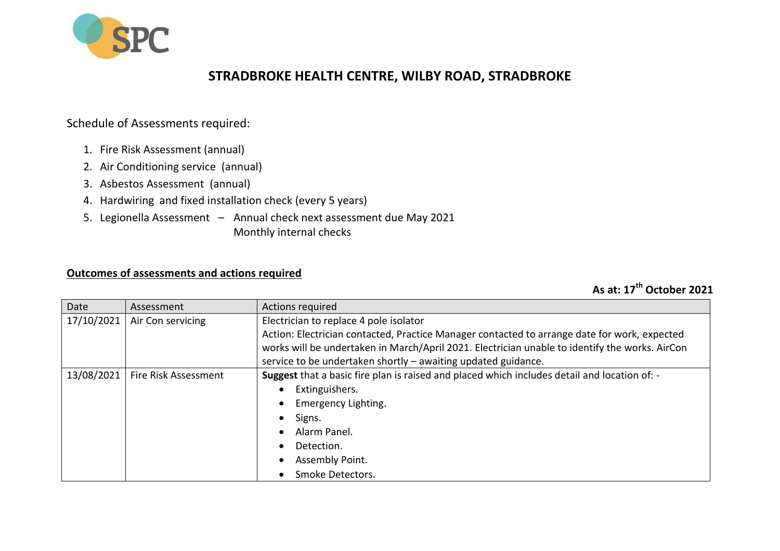

## **STRADBROKE HEALTH CENTRE, WILBY ROAD, STRADBROKE**

## Schedule of Assessments required:

- 1. Fire Risk Assessment (annual)
- 2. Air Conditioning service (annual)
- 3. Asbestos Assessment (annual)
- 4. Hardwiring and fixed installation check (every 5 years)
- 5. Legionella Assessment Annual check next assessment due May 2021 Monthly internal checks

## **Outcomes of assessments and actions required**

## **As at: 17th October 2021**

| Date       | Assessment           | <b>Actions required</b>                                                                        |
|------------|----------------------|------------------------------------------------------------------------------------------------|
| 17/10/2021 | Air Con servicing    | Electrician to replace 4 pole isolator                                                         |
|            |                      | Action: Electrician contacted, Practice Manager contacted to arrange date for work, expected   |
|            |                      | works will be undertaken in March/April 2021. Electrician unable to identify the works. AirCon |
|            |                      | service to be undertaken shortly - awaiting updated guidance.                                  |
| 13/08/2021 | Fire Risk Assessment | Suggest that a basic fire plan is raised and placed which includes detail and location of: -   |
|            |                      | Extinguishers.<br>$\bullet$                                                                    |
|            |                      | Emergency Lighting.<br>$\bullet$                                                               |
|            |                      | Signs.<br>$\bullet$                                                                            |
|            |                      | Alarm Panel.<br>$\bullet$                                                                      |
|            |                      | Detection.<br>$\bullet$                                                                        |
|            |                      | Assembly Point.<br>$\bullet$                                                                   |
|            |                      | Smoke Detectors.                                                                               |